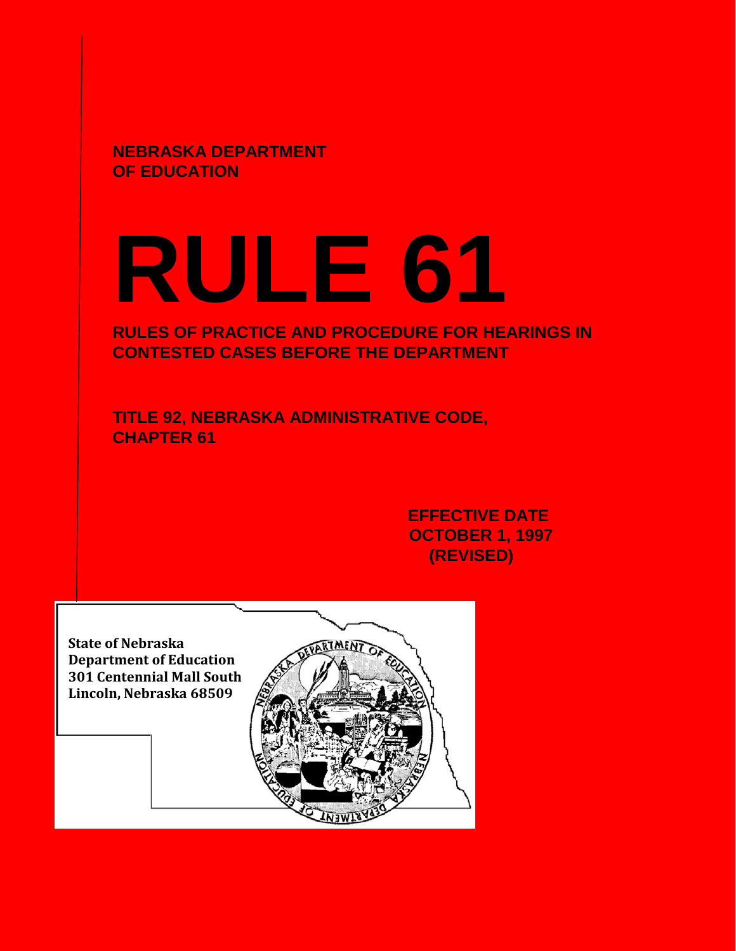**NEBRASKA DEPARTMENT OF EDUCATION**

# **RULE 61**

# **RULES OF PRACTICE AND PROCEDURE FOR HEARINGS IN CONTESTED CASES BEFORE THE DEPARTMENT**

**TITLE 92, NEBRASKA ADMINISTRATIVE CODE, CHAPTER 61**

> **EFFECTIVE DATE OCTOBER 1, 1997 (REVISED)**

**State of Nebraska Department of Education 301 Centennial Mall South Lincoln, Nebraska 68509**

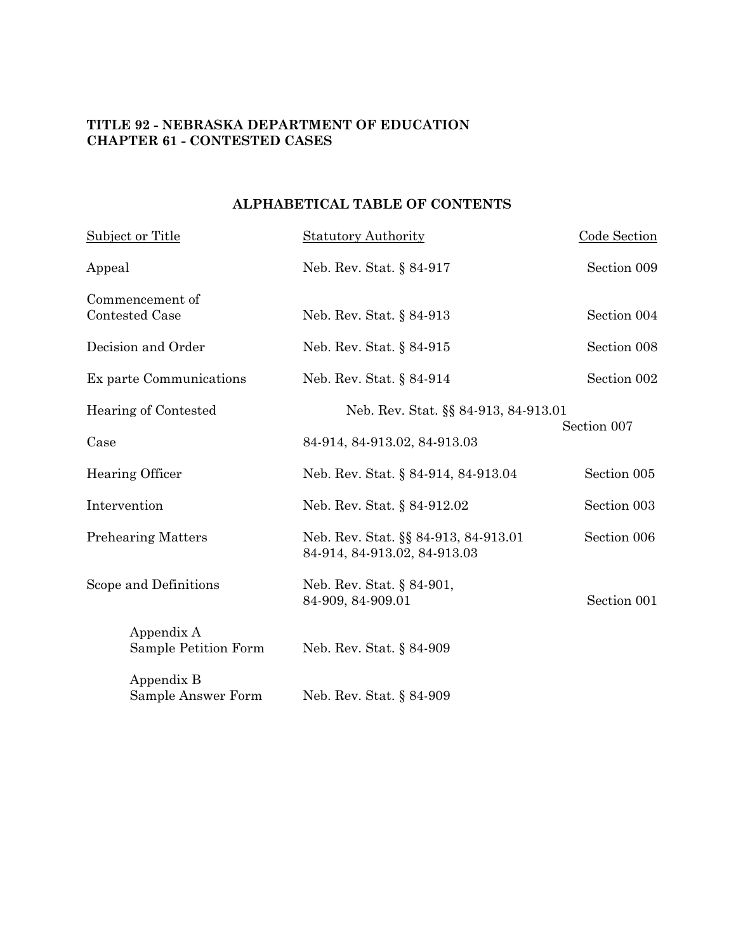# **TITLE 92 - NEBRASKA DEPARTMENT OF EDUCATION CHAPTER 61 - CONTESTED CASES**

# **ALPHABETICAL TABLE OF CONTENTS**

| <b>Subject or Title</b>                  | <b>Statutory Authority</b>                                           | Code Section |
|------------------------------------------|----------------------------------------------------------------------|--------------|
| Appeal                                   | Neb. Rev. Stat. § 84-917                                             | Section 009  |
| Commencement of<br><b>Contested Case</b> | Neb. Rev. Stat. § 84-913                                             | Section 004  |
| Decision and Order                       | Neb. Rev. Stat. § 84-915                                             | Section 008  |
| Ex parte Communications                  | Neb. Rev. Stat. § 84-914                                             | Section 002  |
| Hearing of Contested                     | Neb. Rev. Stat. §§ 84-913, 84-913.01                                 |              |
| Case                                     | 84-914, 84-913.02, 84-913.03                                         | Section 007  |
| Hearing Officer                          | Neb. Rev. Stat. § 84-914, 84-913.04                                  | Section 005  |
| Intervention                             | Neb. Rev. Stat. § 84-912.02                                          | Section 003  |
| <b>Prehearing Matters</b>                | Neb. Rev. Stat. §§ 84-913, 84-913.01<br>84-914, 84-913.02, 84-913.03 | Section 006  |
| Scope and Definitions                    | Neb. Rev. Stat. § 84-901,<br>84-909, 84-909.01                       | Section 001  |
| Appendix A<br>Sample Petition Form       | Neb. Rev. Stat. § 84-909                                             |              |
| Appendix B<br>Sample Answer Form         | Neb. Rev. Stat. § 84-909                                             |              |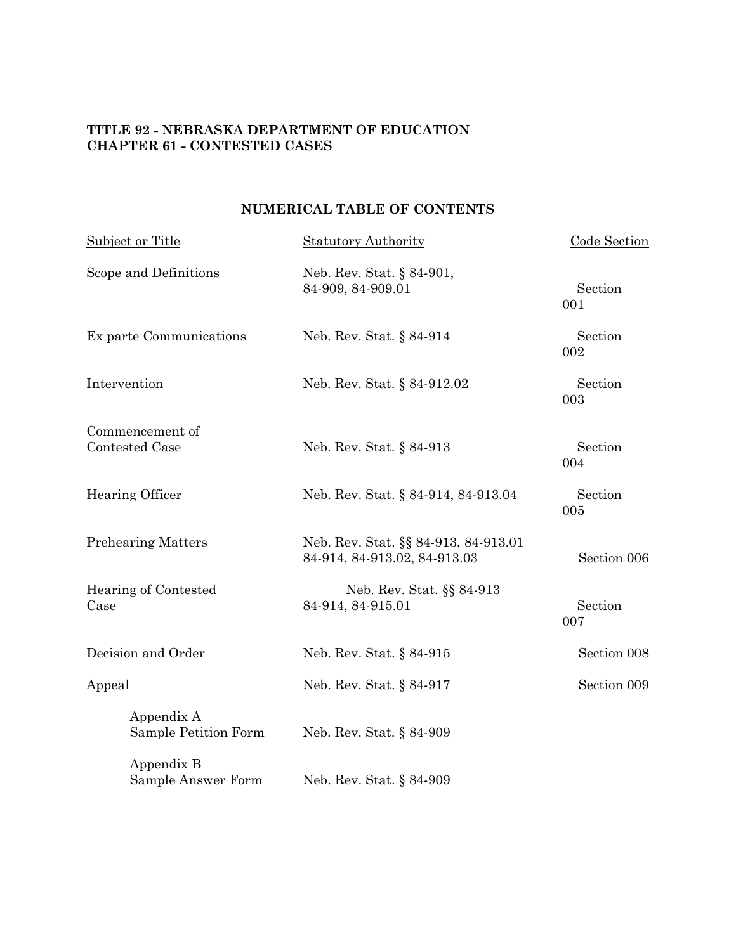# **TITLE 92 - NEBRASKA DEPARTMENT OF EDUCATION CHAPTER 61 - CONTESTED CASES**

# **NUMERICAL TABLE OF CONTENTS**

| Subject or Title                   | <b>Statutory Authority</b>                                           | Code Section   |  |
|------------------------------------|----------------------------------------------------------------------|----------------|--|
| Scope and Definitions              | Neb. Rev. Stat. § 84-901,<br>84-909, 84-909.01                       | Section<br>001 |  |
| Ex parte Communications            | Neb. Rev. Stat. § 84-914                                             | Section<br>002 |  |
| Intervention                       | Neb. Rev. Stat. § 84-912.02                                          | Section<br>003 |  |
| Commencement of<br>Contested Case  | Neb. Rev. Stat. § 84-913                                             | Section<br>004 |  |
| Hearing Officer                    | Neb. Rev. Stat. § 84-914, 84-913.04                                  | Section<br>005 |  |
| <b>Prehearing Matters</b>          | Neb. Rev. Stat. §§ 84-913, 84-913.01<br>84-914, 84-913.02, 84-913.03 | Section 006    |  |
| Hearing of Contested<br>Case       | Neb. Rev. Stat. §§ 84-913<br>84-914, 84-915.01                       | Section<br>007 |  |
| Decision and Order                 | Neb. Rev. Stat. § 84-915                                             | Section 008    |  |
| Appeal                             | Neb. Rev. Stat. § 84-917                                             | Section 009    |  |
| Appendix A<br>Sample Petition Form | Neb. Rev. Stat. § 84-909                                             |                |  |
| Appendix B<br>Sample Answer Form   | Neb. Rev. Stat. § 84-909                                             |                |  |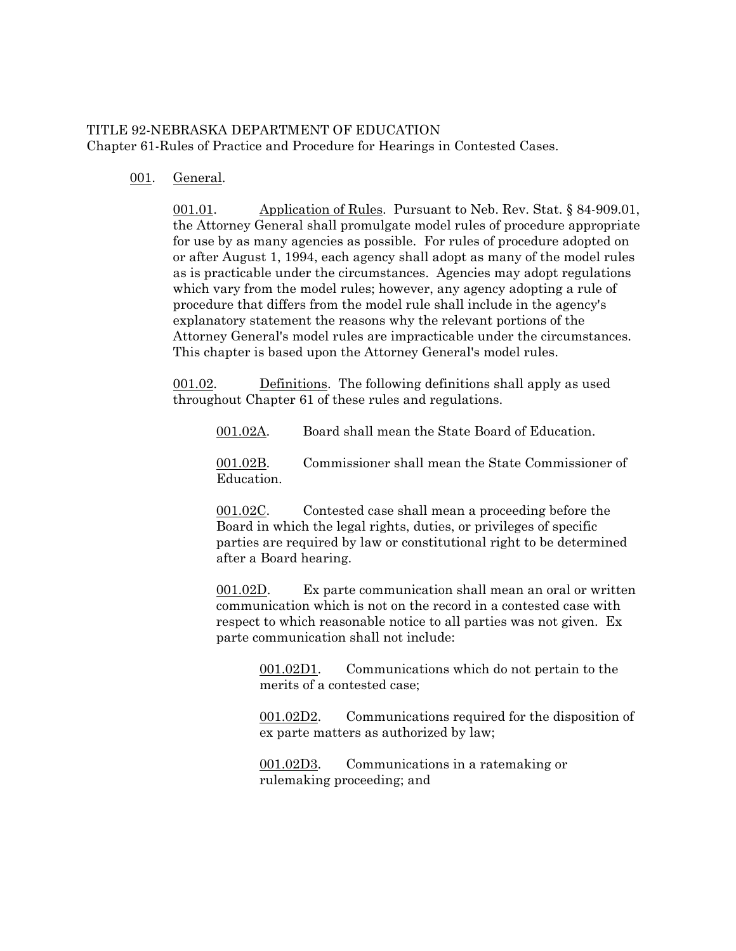# TITLE 92-NEBRASKA DEPARTMENT OF EDUCATION Chapter 61-Rules of Practice and Procedure for Hearings in Contested Cases.

# 001. General.

001.01. Application of Rules. Pursuant to Neb. Rev. Stat. § 84-909.01, the Attorney General shall promulgate model rules of procedure appropriate for use by as many agencies as possible. For rules of procedure adopted on or after August 1, 1994, each agency shall adopt as many of the model rules as is practicable under the circumstances. Agencies may adopt regulations which vary from the model rules; however, any agency adopting a rule of procedure that differs from the model rule shall include in the agency's explanatory statement the reasons why the relevant portions of the Attorney General's model rules are impracticable under the circumstances. This chapter is based upon the Attorney General's model rules.

001.02. Definitions. The following definitions shall apply as used throughout Chapter 61 of these rules and regulations.

001.02A. Board shall mean the State Board of Education.

001.02B. Commissioner shall mean the State Commissioner of Education.

001.02C. Contested case shall mean a proceeding before the Board in which the legal rights, duties, or privileges of specific parties are required by law or constitutional right to be determined after a Board hearing.

001.02D. Ex parte communication shall mean an oral or written communication which is not on the record in a contested case with respect to which reasonable notice to all parties was not given. Ex parte communication shall not include:

> 001.02D1. Communications which do not pertain to the merits of a contested case;

001.02D2. Communications required for the disposition of ex parte matters as authorized by law;

001.02D3. Communications in a ratemaking or rulemaking proceeding; and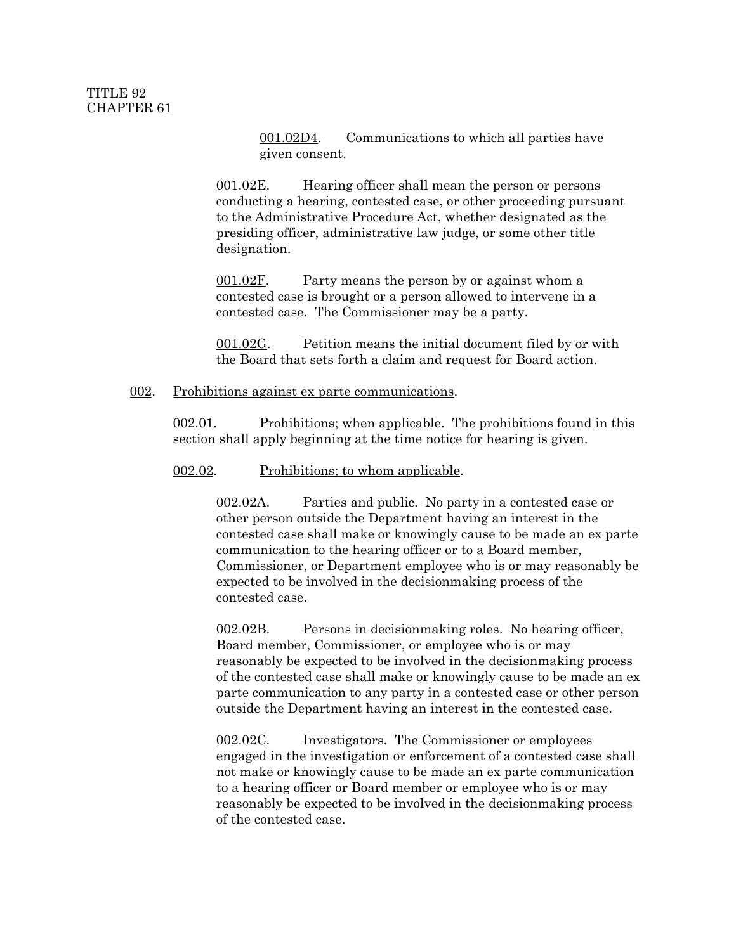001.02D4. Communications to which all parties have given consent.

001.02E. Hearing officer shall mean the person or persons conducting a hearing, contested case, or other proceeding pursuant to the Administrative Procedure Act, whether designated as the presiding officer, administrative law judge, or some other title designation.

001.02F. Party means the person by or against whom a contested case is brought or a person allowed to intervene in a contested case. The Commissioner may be a party.

001.02G. Petition means the initial document filed by or with the Board that sets forth a claim and request for Board action.

#### 002. Prohibitions against ex parte communications.

002.01. Prohibitions; when applicable. The prohibitions found in this section shall apply beginning at the time notice for hearing is given.

#### 002.02. Prohibitions; to whom applicable.

002.02A. Parties and public. No party in a contested case or other person outside the Department having an interest in the contested case shall make or knowingly cause to be made an ex parte communication to the hearing officer or to a Board member, Commissioner, or Department employee who is or may reasonably be expected to be involved in the decisionmaking process of the contested case.

002.02B. Persons in decisionmaking roles. No hearing officer, Board member, Commissioner, or employee who is or may reasonably be expected to be involved in the decisionmaking process of the contested case shall make or knowingly cause to be made an ex parte communication to any party in a contested case or other person outside the Department having an interest in the contested case.

002.02C. Investigators. The Commissioner or employees engaged in the investigation or enforcement of a contested case shall not make or knowingly cause to be made an ex parte communication to a hearing officer or Board member or employee who is or may reasonably be expected to be involved in the decisionmaking process of the contested case.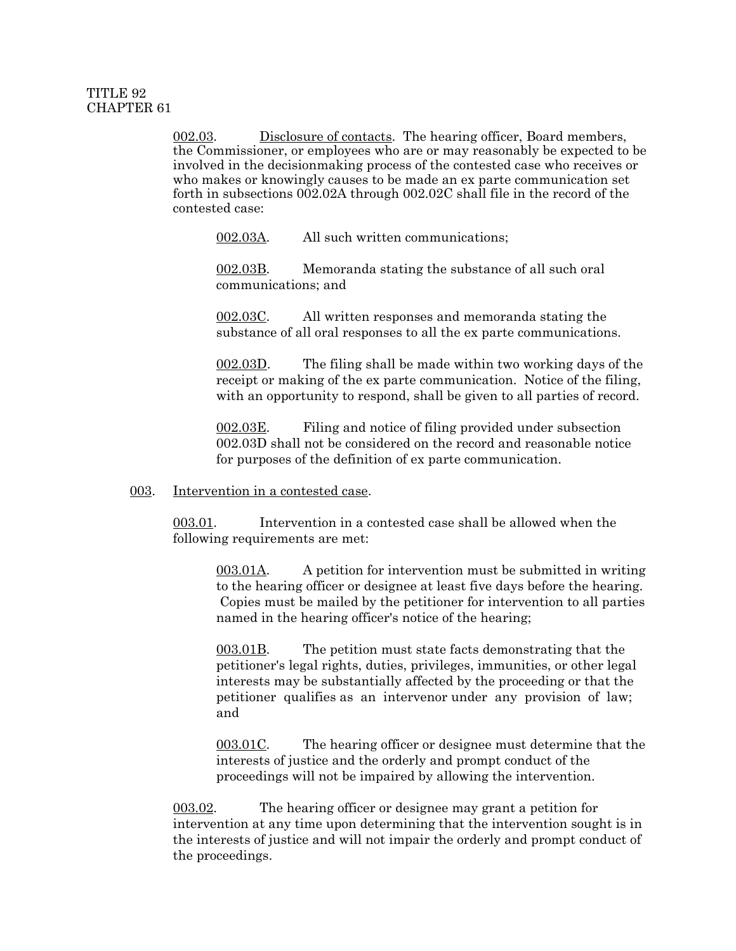002.03. Disclosure of contacts. The hearing officer, Board members, the Commissioner, or employees who are or may reasonably be expected to be involved in the decisionmaking process of the contested case who receives or who makes or knowingly causes to be made an ex parte communication set forth in subsections 002.02A through 002.02C shall file in the record of the contested case:

002.03A. All such written communications;

 002.03B. Memoranda stating the substance of all such oral communications; and

002.03C. All written responses and memoranda stating the substance of all oral responses to all the ex parte communications.

002.03D. The filing shall be made within two working days of the receipt or making of the ex parte communication. Notice of the filing, with an opportunity to respond, shall be given to all parties of record.

002.03E. Filing and notice of filing provided under subsection 002.03D shall not be considered on the record and reasonable notice for purposes of the definition of ex parte communication.

## 003. Intervention in a contested case.

003.01. Intervention in a contested case shall be allowed when the following requirements are met:

003.01A. A petition for intervention must be submitted in writing to the hearing officer or designee at least five days before the hearing. Copies must be mailed by the petitioner for intervention to all parties named in the hearing officer's notice of the hearing;

003.01B. The petition must state facts demonstrating that the petitioner's legal rights, duties, privileges, immunities, or other legal interests may be substantially affected by the proceeding or that the petitioner qualifies as an intervenor under any provision of law; and

003.01C. The hearing officer or designee must determine that the interests of justice and the orderly and prompt conduct of the proceedings will not be impaired by allowing the intervention.

003.02. The hearing officer or designee may grant a petition for intervention at any time upon determining that the intervention sought is in the interests of justice and will not impair the orderly and prompt conduct of the proceedings.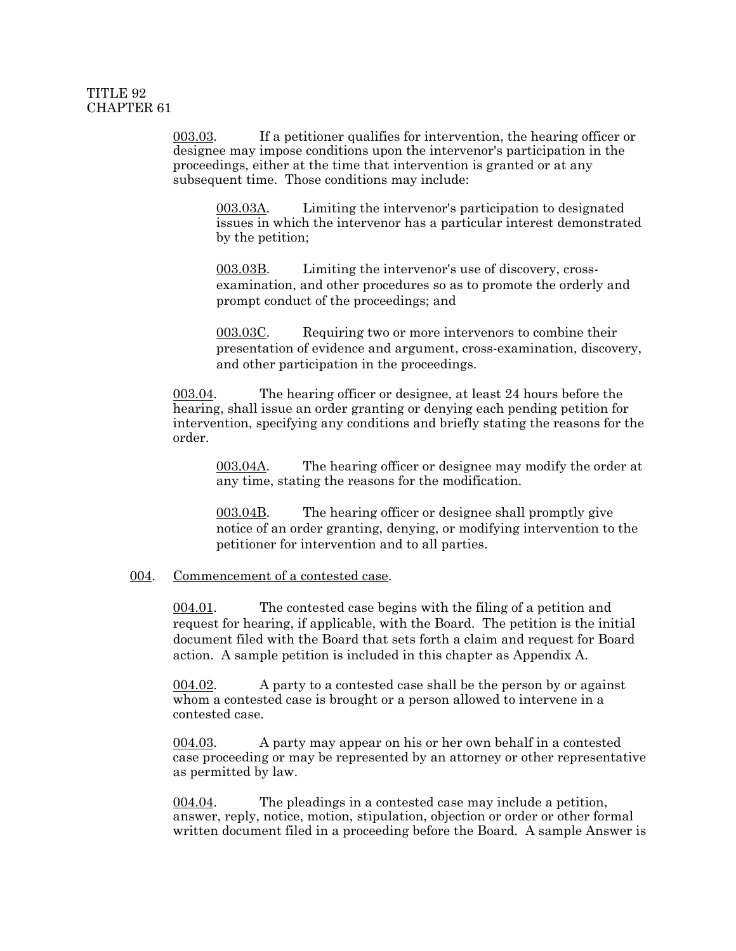003.03. If a petitioner qualifies for intervention, the hearing officer or designee may impose conditions upon the intervenor's participation in the proceedings, either at the time that intervention is granted or at any subsequent time. Those conditions may include:

003.03A. Limiting the intervenor's participation to designated issues in which the intervenor has a particular interest demonstrated by the petition;

003.03B. Limiting the intervenor's use of discovery, crossexamination, and other procedures so as to promote the orderly and prompt conduct of the proceedings; and

 003.03C. Requiring two or more intervenors to combine their presentation of evidence and argument, cross-examination, discovery, and other participation in the proceedings.

003.04. The hearing officer or designee, at least 24 hours before the hearing, shall issue an order granting or denying each pending petition for intervention, specifying any conditions and briefly stating the reasons for the order.

003.04A. The hearing officer or designee may modify the order at any time, stating the reasons for the modification.

003.04B. The hearing officer or designee shall promptly give notice of an order granting, denying, or modifying intervention to the petitioner for intervention and to all parties.

#### 004. Commencement of a contested case.

004.01. The contested case begins with the filing of a petition and request for hearing, if applicable, with the Board. The petition is the initial document filed with the Board that sets forth a claim and request for Board action. A sample petition is included in this chapter as Appendix A.

004.02. A party to a contested case shall be the person by or against whom a contested case is brought or a person allowed to intervene in a contested case.

004.03. A party may appear on his or her own behalf in a contested case proceeding or may be represented by an attorney or other representative as permitted by law.

004.04. The pleadings in a contested case may include a petition, answer, reply, notice, motion, stipulation, objection or order or other formal written document filed in a proceeding before the Board. A sample Answer is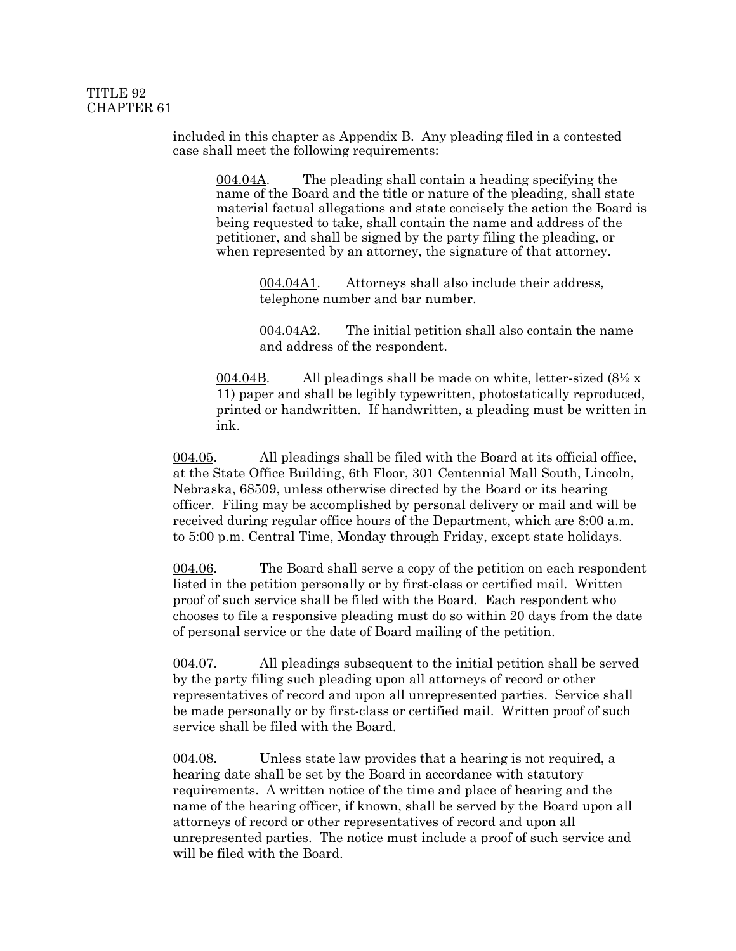included in this chapter as Appendix B. Any pleading filed in a contested case shall meet the following requirements:

004.04A. The pleading shall contain a heading specifying the name of the Board and the title or nature of the pleading, shall state material factual allegations and state concisely the action the Board is being requested to take, shall contain the name and address of the petitioner, and shall be signed by the party filing the pleading, or when represented by an attorney, the signature of that attorney.

> 004.04A1. Attorneys shall also include their address, telephone number and bar number.

004.04A2. The initial petition shall also contain the name and address of the respondent.

004.04B. All pleadings shall be made on white, letter-sized  $(8\frac{1}{2} \times$ 11) paper and shall be legibly typewritten, photostatically reproduced, printed or handwritten. If handwritten, a pleading must be written in ink.

004.05. All pleadings shall be filed with the Board at its official office, at the State Office Building, 6th Floor, 301 Centennial Mall South, Lincoln, Nebraska, 68509, unless otherwise directed by the Board or its hearing officer. Filing may be accomplished by personal delivery or mail and will be received during regular office hours of the Department, which are 8:00 a.m. to 5:00 p.m. Central Time, Monday through Friday, except state holidays.

004.06. The Board shall serve a copy of the petition on each respondent listed in the petition personally or by first-class or certified mail. Written proof of such service shall be filed with the Board. Each respondent who chooses to file a responsive pleading must do so within 20 days from the date of personal service or the date of Board mailing of the petition.

004.07. All pleadings subsequent to the initial petition shall be served by the party filing such pleading upon all attorneys of record or other representatives of record and upon all unrepresented parties. Service shall be made personally or by first-class or certified mail. Written proof of such service shall be filed with the Board.

004.08. Unless state law provides that a hearing is not required, a hearing date shall be set by the Board in accordance with statutory requirements. A written notice of the time and place of hearing and the name of the hearing officer, if known, shall be served by the Board upon all attorneys of record or other representatives of record and upon all unrepresented parties. The notice must include a proof of such service and will be filed with the Board.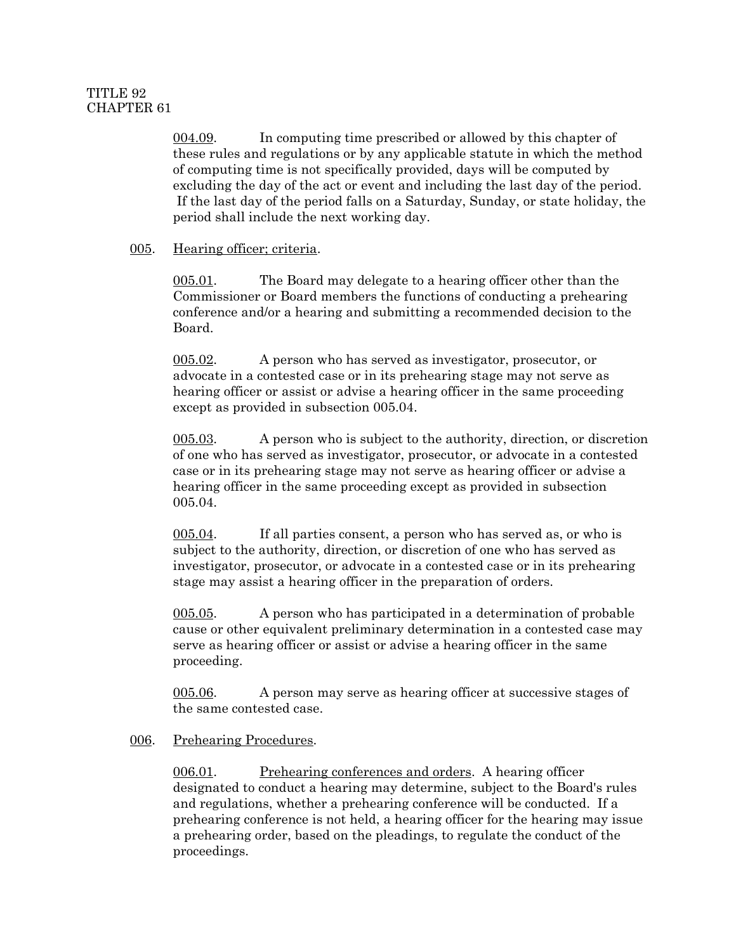004.09. In computing time prescribed or allowed by this chapter of these rules and regulations or by any applicable statute in which the method of computing time is not specifically provided, days will be computed by excluding the day of the act or event and including the last day of the period. If the last day of the period falls on a Saturday, Sunday, or state holiday, the period shall include the next working day.

# 005. Hearing officer; criteria.

005.01. The Board may delegate to a hearing officer other than the Commissioner or Board members the functions of conducting a prehearing conference and/or a hearing and submitting a recommended decision to the Board.

005.02. A person who has served as investigator, prosecutor, or advocate in a contested case or in its prehearing stage may not serve as hearing officer or assist or advise a hearing officer in the same proceeding except as provided in subsection 005.04.

005.03. A person who is subject to the authority, direction, or discretion of one who has served as investigator, prosecutor, or advocate in a contested case or in its prehearing stage may not serve as hearing officer or advise a hearing officer in the same proceeding except as provided in subsection 005.04.

005.04. If all parties consent, a person who has served as, or who is subject to the authority, direction, or discretion of one who has served as investigator, prosecutor, or advocate in a contested case or in its prehearing stage may assist a hearing officer in the preparation of orders.

005.05. A person who has participated in a determination of probable cause or other equivalent preliminary determination in a contested case may serve as hearing officer or assist or advise a hearing officer in the same proceeding.

005.06. A person may serve as hearing officer at successive stages of the same contested case.

## 006. Prehearing Procedures.

006.01. Prehearing conferences and orders. A hearing officer designated to conduct a hearing may determine, subject to the Board's rules and regulations, whether a prehearing conference will be conducted. If a prehearing conference is not held, a hearing officer for the hearing may issue a prehearing order, based on the pleadings, to regulate the conduct of the proceedings.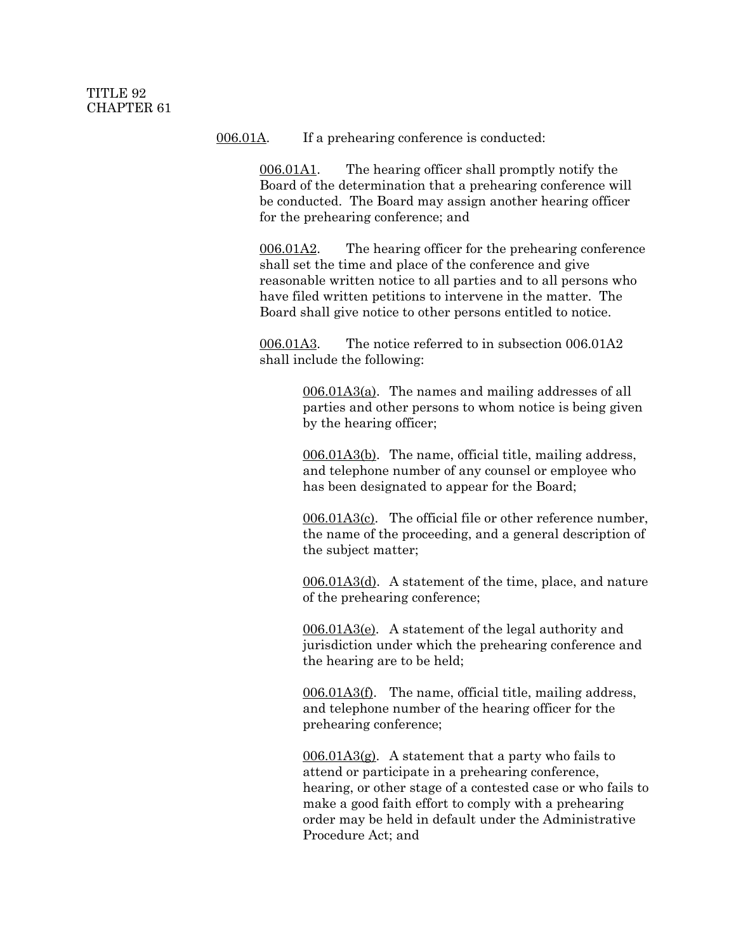006.01A. If a prehearing conference is conducted:

006.01A1. The hearing officer shall promptly notify the Board of the determination that a prehearing conference will be conducted. The Board may assign another hearing officer for the prehearing conference; and

006.01A2. The hearing officer for the prehearing conference shall set the time and place of the conference and give reasonable written notice to all parties and to all persons who have filed written petitions to intervene in the matter. The Board shall give notice to other persons entitled to notice.

006.01A3. The notice referred to in subsection 006.01A2 shall include the following:

> 006.01A3(a). The names and mailing addresses of all parties and other persons to whom notice is being given by the hearing officer;

006.01A3(b). The name, official title, mailing address, and telephone number of any counsel or employee who has been designated to appear for the Board;

006.01A3(c). The official file or other reference number, the name of the proceeding, and a general description of the subject matter;

006.01A3(d). A statement of the time, place, and nature of the prehearing conference;

006.01A3(e). A statement of the legal authority and jurisdiction under which the prehearing conference and the hearing are to be held;

006.01A3(f). The name, official title, mailing address, and telephone number of the hearing officer for the prehearing conference;

 $006.01A3(g)$ . A statement that a party who fails to attend or participate in a prehearing conference, hearing, or other stage of a contested case or who fails to make a good faith effort to comply with a prehearing order may be held in default under the Administrative Procedure Act; and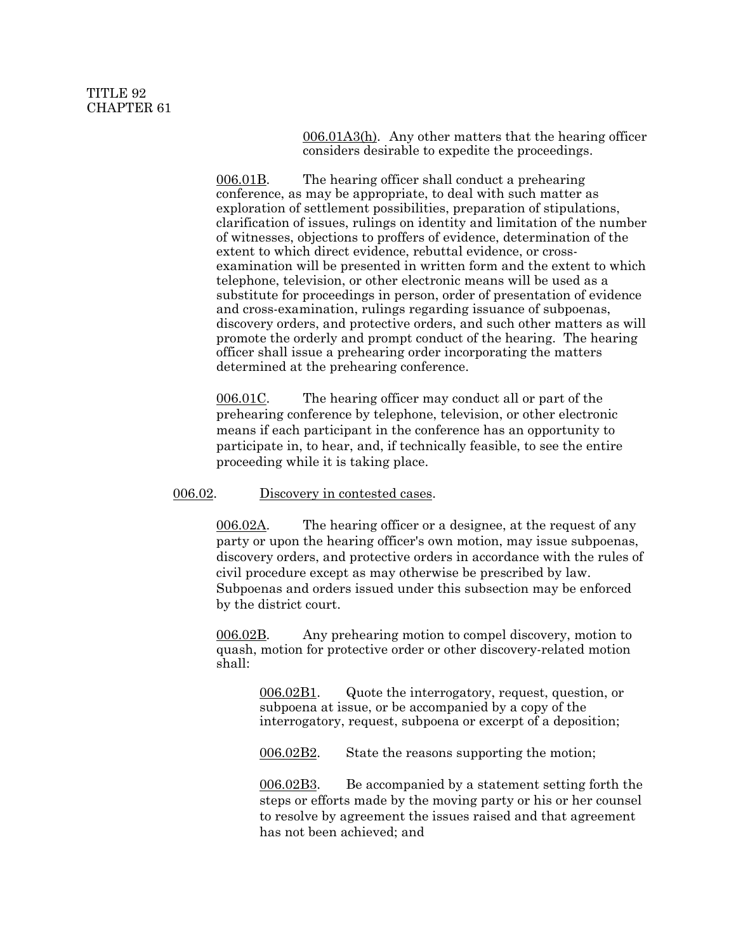006.01A3(h). Any other matters that the hearing officer considers desirable to expedite the proceedings.

006.01B. The hearing officer shall conduct a prehearing conference, as may be appropriate, to deal with such matter as exploration of settlement possibilities, preparation of stipulations, clarification of issues, rulings on identity and limitation of the number of witnesses, objections to proffers of evidence, determination of the extent to which direct evidence, rebuttal evidence, or crossexamination will be presented in written form and the extent to which telephone, television, or other electronic means will be used as a substitute for proceedings in person, order of presentation of evidence and cross-examination, rulings regarding issuance of subpoenas, discovery orders, and protective orders, and such other matters as will promote the orderly and prompt conduct of the hearing. The hearing officer shall issue a prehearing order incorporating the matters determined at the prehearing conference.

006.01C. The hearing officer may conduct all or part of the prehearing conference by telephone, television, or other electronic means if each participant in the conference has an opportunity to participate in, to hear, and, if technically feasible, to see the entire proceeding while it is taking place.

006.02. Discovery in contested cases.

006.02A. The hearing officer or a designee, at the request of any party or upon the hearing officer's own motion, may issue subpoenas, discovery orders, and protective orders in accordance with the rules of civil procedure except as may otherwise be prescribed by law. Subpoenas and orders issued under this subsection may be enforced by the district court.

006.02B. Any prehearing motion to compel discovery, motion to quash, motion for protective order or other discovery-related motion shall:

> 006.02B1. Quote the interrogatory, request, question, or subpoena at issue, or be accompanied by a copy of the interrogatory, request, subpoena or excerpt of a deposition;

006.02B2. State the reasons supporting the motion;

006.02B3. Be accompanied by a statement setting forth the steps or efforts made by the moving party or his or her counsel to resolve by agreement the issues raised and that agreement has not been achieved; and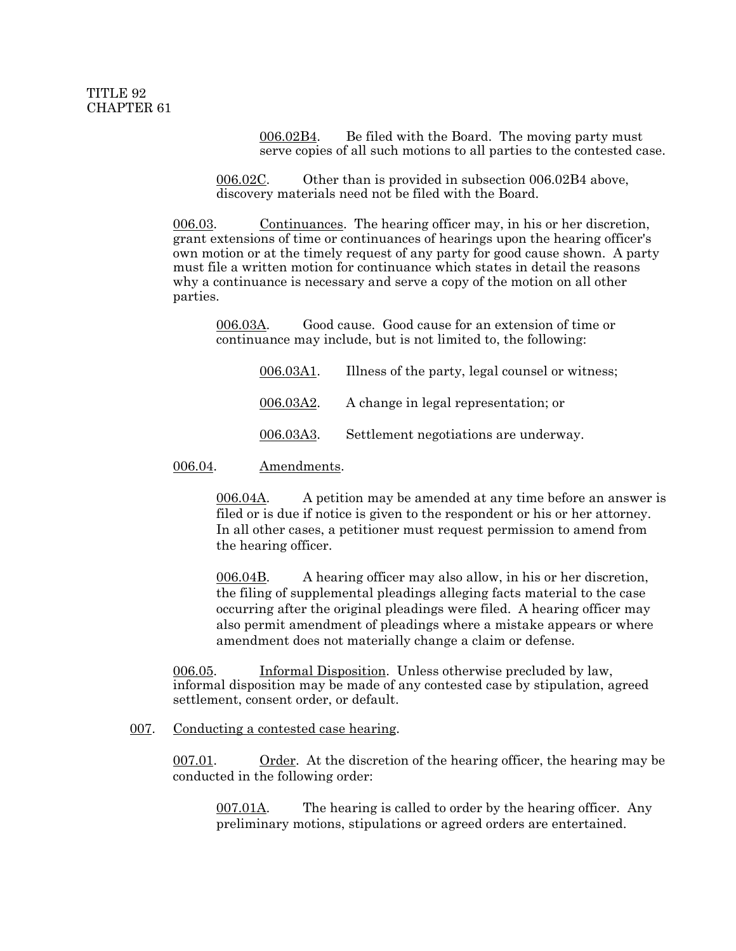006.02B4. Be filed with the Board. The moving party must serve copies of all such motions to all parties to the contested case.

006.02C. Other than is provided in subsection 006.02B4 above, discovery materials need not be filed with the Board.

006.03. Continuances. The hearing officer may, in his or her discretion, grant extensions of time or continuances of hearings upon the hearing officer's own motion or at the timely request of any party for good cause shown. A party must file a written motion for continuance which states in detail the reasons why a continuance is necessary and serve a copy of the motion on all other parties.

006.03A. Good cause. Good cause for an extension of time or continuance may include, but is not limited to, the following:

| 006.03A1. | Illness of the party, legal counsel or witness; |
|-----------|-------------------------------------------------|
| 006.03A2. | A change in legal representation; or            |
| 006.03A3. | Settlement negotiations are underway.           |

006.04. Amendments.

006.04A. A petition may be amended at any time before an answer is filed or is due if notice is given to the respondent or his or her attorney. In all other cases, a petitioner must request permission to amend from the hearing officer.

006.04B. A hearing officer may also allow, in his or her discretion, the filing of supplemental pleadings alleging facts material to the case occurring after the original pleadings were filed. A hearing officer may also permit amendment of pleadings where a mistake appears or where amendment does not materially change a claim or defense.

006.05. Informal Disposition. Unless otherwise precluded by law, informal disposition may be made of any contested case by stipulation, agreed settlement, consent order, or default.

#### 007. Conducting a contested case hearing.

007.01. Order. At the discretion of the hearing officer, the hearing may be conducted in the following order:

007.01A. The hearing is called to order by the hearing officer. Any preliminary motions, stipulations or agreed orders are entertained.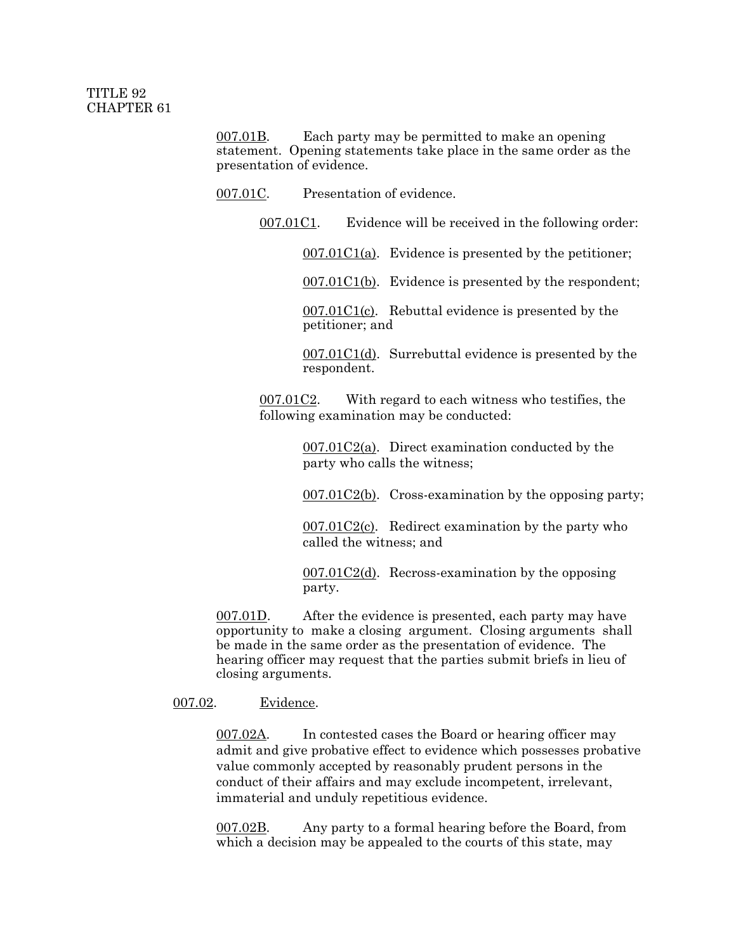007.01B. Each party may be permitted to make an opening statement. Opening statements take place in the same order as the presentation of evidence.

007.01C. Presentation of evidence.

007.01C1. Evidence will be received in the following order:

 $007.01C1(a)$ . Evidence is presented by the petitioner;

007.01C1(b). Evidence is presented by the respondent;

 $007.01C1(c)$ . Rebuttal evidence is presented by the petitioner; and

007.01C1(d). Surrebuttal evidence is presented by the respondent.

007.01C2. With regard to each witness who testifies, the following examination may be conducted:

> $007.01C2(a)$ . Direct examination conducted by the party who calls the witness;

007.01C2(b). Cross-examination by the opposing party;

 $007.01C2(c)$ . Redirect examination by the party who called the witness; and

 $007.01C2(d)$ . Recross-examination by the opposing party.

007.01D. After the evidence is presented, each party may have opportunity to make a closing argument. Closing arguments shall be made in the same order as the presentation of evidence. The hearing officer may request that the parties submit briefs in lieu of closing arguments.

007.02. Evidence.

007.02A. In contested cases the Board or hearing officer may admit and give probative effect to evidence which possesses probative value commonly accepted by reasonably prudent persons in the conduct of their affairs and may exclude incompetent, irrelevant, immaterial and unduly repetitious evidence.

007.02B. Any party to a formal hearing before the Board, from which a decision may be appealed to the courts of this state, may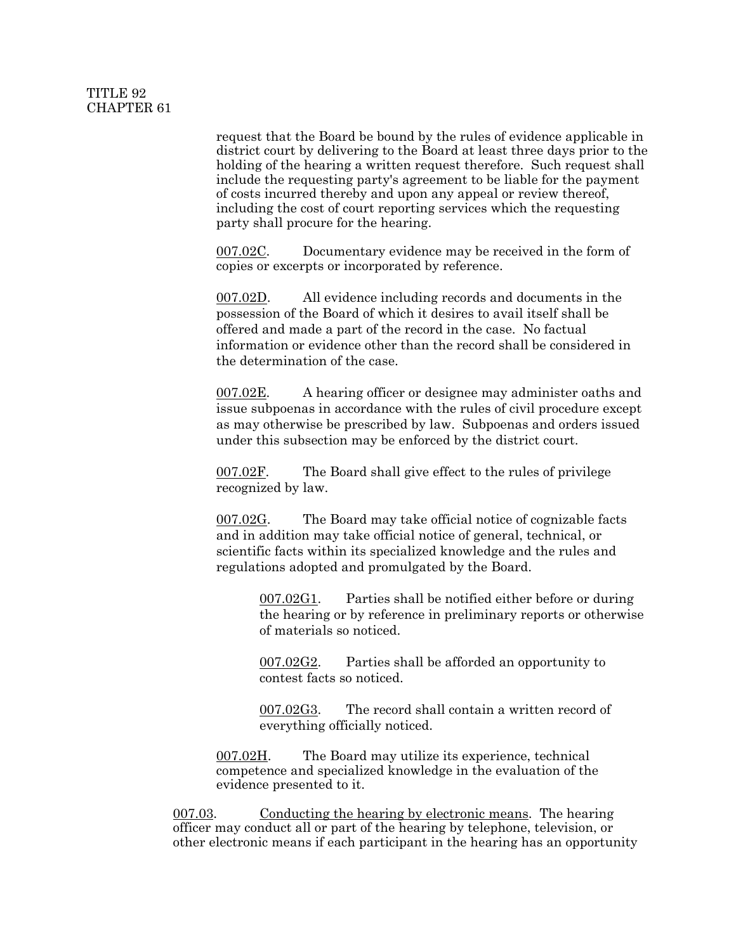request that the Board be bound by the rules of evidence applicable in district court by delivering to the Board at least three days prior to the holding of the hearing a written request therefore. Such request shall include the requesting party's agreement to be liable for the payment of costs incurred thereby and upon any appeal or review thereof, including the cost of court reporting services which the requesting party shall procure for the hearing.

007.02C. Documentary evidence may be received in the form of copies or excerpts or incorporated by reference.

007.02D. All evidence including records and documents in the possession of the Board of which it desires to avail itself shall be offered and made a part of the record in the case. No factual information or evidence other than the record shall be considered in the determination of the case.

007.02E. A hearing officer or designee may administer oaths and issue subpoenas in accordance with the rules of civil procedure except as may otherwise be prescribed by law. Subpoenas and orders issued under this subsection may be enforced by the district court.

007.02F. The Board shall give effect to the rules of privilege recognized by law.

007.02G. The Board may take official notice of cognizable facts and in addition may take official notice of general, technical, or scientific facts within its specialized knowledge and the rules and regulations adopted and promulgated by the Board.

> 007.02G1. Parties shall be notified either before or during the hearing or by reference in preliminary reports or otherwise of materials so noticed.

007.02G2. Parties shall be afforded an opportunity to contest facts so noticed.

007.02G3. The record shall contain a written record of everything officially noticed.

007.02H. The Board may utilize its experience, technical competence and specialized knowledge in the evaluation of the evidence presented to it.

007.03. Conducting the hearing by electronic means. The hearing officer may conduct all or part of the hearing by telephone, television, or other electronic means if each participant in the hearing has an opportunity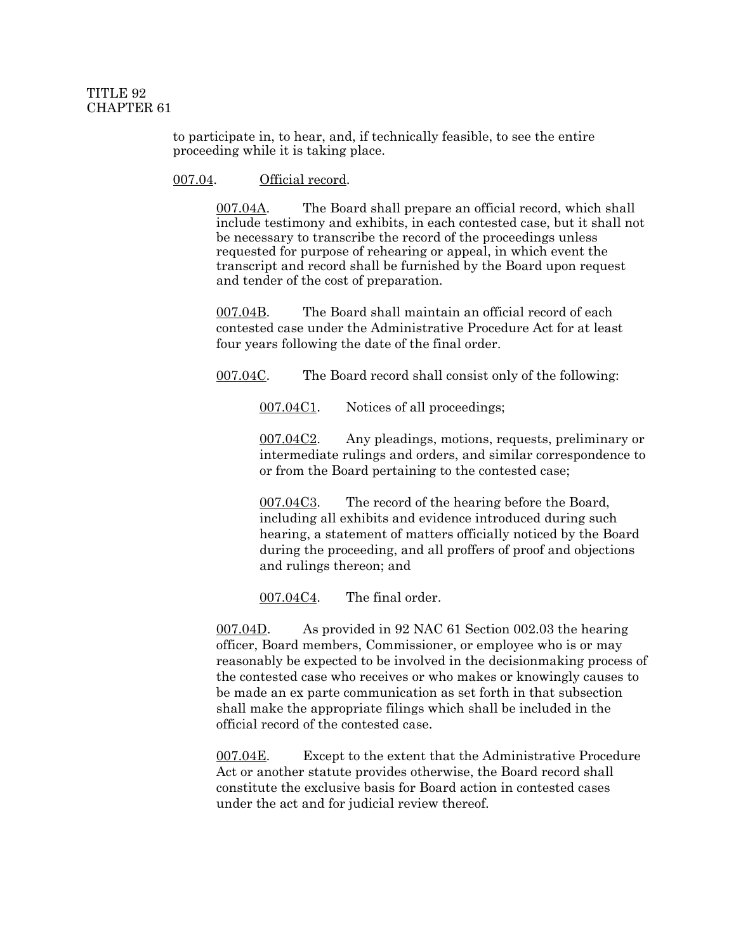to participate in, to hear, and, if technically feasible, to see the entire proceeding while it is taking place.

#### 007.04. Official record.

007.04A. The Board shall prepare an official record, which shall include testimony and exhibits, in each contested case, but it shall not be necessary to transcribe the record of the proceedings unless requested for purpose of rehearing or appeal, in which event the transcript and record shall be furnished by the Board upon request and tender of the cost of preparation.

007.04B. The Board shall maintain an official record of each contested case under the Administrative Procedure Act for at least four years following the date of the final order.

007.04C. The Board record shall consist only of the following:

007.04C1. Notices of all proceedings;

007.04C2. Any pleadings, motions, requests, preliminary or intermediate rulings and orders, and similar correspondence to or from the Board pertaining to the contested case;

007.04C3. The record of the hearing before the Board, including all exhibits and evidence introduced during such hearing, a statement of matters officially noticed by the Board during the proceeding, and all proffers of proof and objections and rulings thereon; and

007.04C4. The final order.

007.04D. As provided in 92 NAC 61 Section 002.03 the hearing officer, Board members, Commissioner, or employee who is or may reasonably be expected to be involved in the decisionmaking process of the contested case who receives or who makes or knowingly causes to be made an ex parte communication as set forth in that subsection shall make the appropriate filings which shall be included in the official record of the contested case.

007.04E. Except to the extent that the Administrative Procedure Act or another statute provides otherwise, the Board record shall constitute the exclusive basis for Board action in contested cases under the act and for judicial review thereof.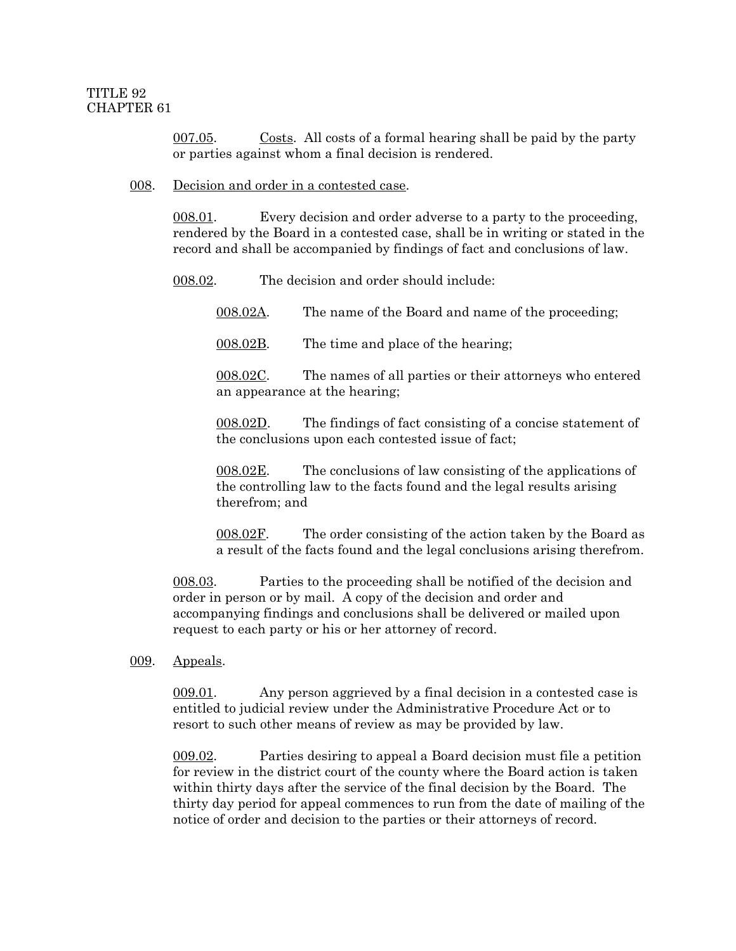007.05. Costs. All costs of a formal hearing shall be paid by the party or parties against whom a final decision is rendered.

#### 008. Decision and order in a contested case.

008.01. Every decision and order adverse to a party to the proceeding, rendered by the Board in a contested case, shall be in writing or stated in the record and shall be accompanied by findings of fact and conclusions of law.

008.02. The decision and order should include:

008.02A. The name of the Board and name of the proceeding;

008.02B. The time and place of the hearing;

008.02C. The names of all parties or their attorneys who entered an appearance at the hearing;

008.02D. The findings of fact consisting of a concise statement of the conclusions upon each contested issue of fact;

008.02E. The conclusions of law consisting of the applications of the controlling law to the facts found and the legal results arising therefrom; and

008.02F. The order consisting of the action taken by the Board as a result of the facts found and the legal conclusions arising therefrom.

008.03. Parties to the proceeding shall be notified of the decision and order in person or by mail. A copy of the decision and order and accompanying findings and conclusions shall be delivered or mailed upon request to each party or his or her attorney of record.

009. Appeals.

009.01. Any person aggrieved by a final decision in a contested case is entitled to judicial review under the Administrative Procedure Act or to resort to such other means of review as may be provided by law.

009.02. Parties desiring to appeal a Board decision must file a petition for review in the district court of the county where the Board action is taken within thirty days after the service of the final decision by the Board. The thirty day period for appeal commences to run from the date of mailing of the notice of order and decision to the parties or their attorneys of record.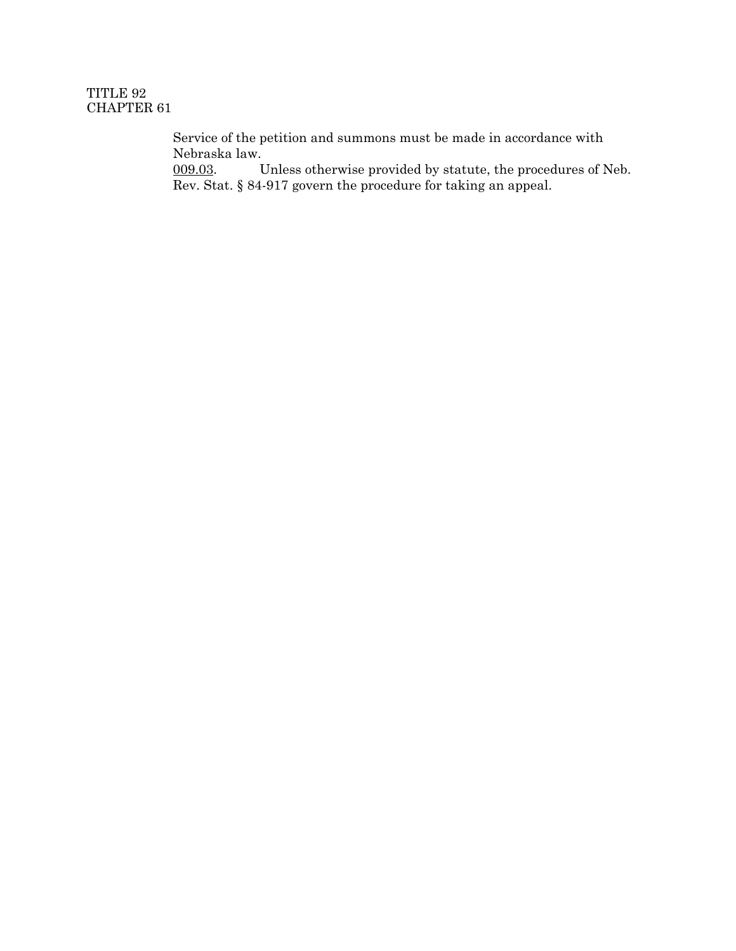Service of the petition and summons must be made in accordance with Nebraska law.

009.03. Unless otherwise provided by statute, the procedures of Neb. Rev. Stat. § 84-917 govern the procedure for taking an appeal.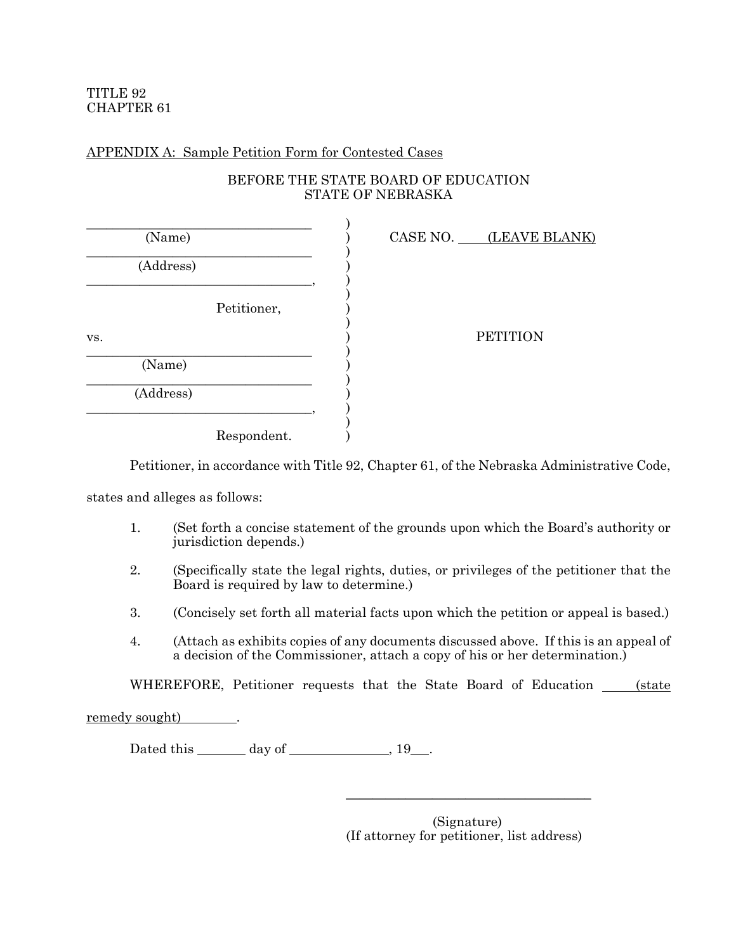## APPENDIX A: Sample Petition Form for Contested Cases

## BEFORE THE STATE BOARD OF EDUCATION STATE OF NEBRASKA

| (Name)    |             |  | CASE NO. (LEAVE BLANK) |
|-----------|-------------|--|------------------------|
| (Address) |             |  |                        |
|           | Petitioner, |  |                        |
| VS.       |             |  | <b>PETITION</b>        |
| (Name)    |             |  |                        |
| (Address) |             |  |                        |
|           | Respondent. |  |                        |

Petitioner, in accordance with Title 92, Chapter 61, of the Nebraska Administrative Code,

states and alleges as follows:

- 1. (Set forth a concise statement of the grounds upon which the Board's authority or jurisdiction depends.)
- 2. (Specifically state the legal rights, duties, or privileges of the petitioner that the Board is required by law to determine.)
- 3. (Concisely set forth all material facts upon which the petition or appeal is based.)
- 4. (Attach as exhibits copies of any documents discussed above. If this is an appeal of a decision of the Commissioner, attach a copy of his or her determination.)

WHEREFORE, Petitioner requests that the State Board of Education <u>(state</u>

remedy sought) .

Dated this  $\_\_\_\_\_\$  day of  $\_\_\_\_\_\_\$  , 19  $\_\_\_\_\$ .

(Signature) (If attorney for petitioner, list address)

 $\overline{\phantom{a}}$  , and the set of the set of the set of the set of the set of the set of the set of the set of the set of the set of the set of the set of the set of the set of the set of the set of the set of the set of the s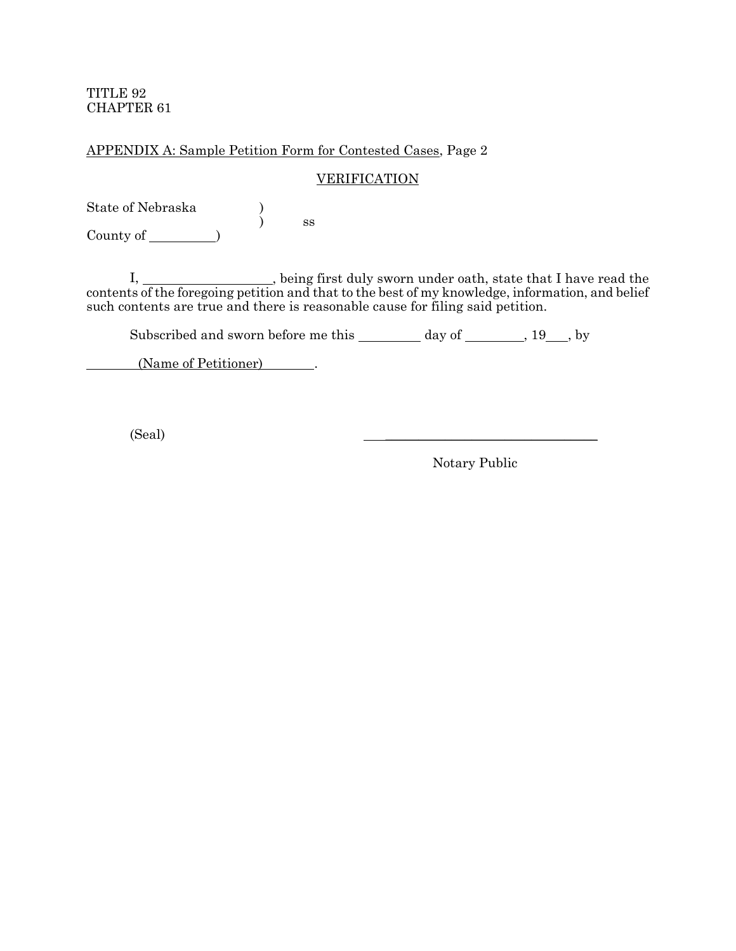# APPENDIX A: Sample Petition Form for Contested Cases, Page 2

#### **VERIFICATION**

State of Nebraska ) ) ss County of )

I, \_\_\_\_\_\_\_\_\_\_\_\_\_\_\_\_, being first duly sworn under oath, state that I have read the contents of the foregoing petition and that to the best of my knowledge, information, and belief such contents are true and there is reasonable cause for filing said petition.

Subscribed and sworn before me this \_\_\_\_\_\_\_\_ day of \_\_\_\_\_\_\_, 19\_\_\_, by

(Name of Petitioner) ...

 $\Box$   $\Box$ 

Notary Public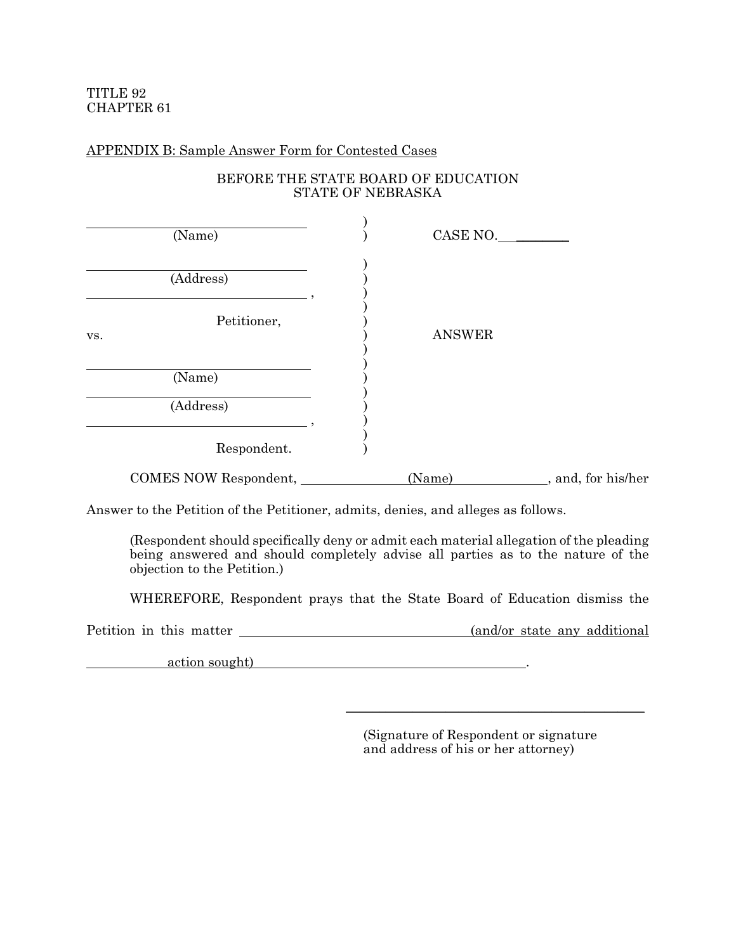## APPENDIX B: Sample Answer Form for Contested Cases

# BEFORE THE STATE BOARD OF EDUCATION STATE OF NEBRASKA

| (Name)                | CASE NO.      |                     |
|-----------------------|---------------|---------------------|
| (Address)             |               |                     |
| Petitioner,<br>VS.    | <b>ANSWER</b> |                     |
| (Name)<br>(Address)   |               |                     |
| Respondent.           |               |                     |
| COMES NOW Respondent, | (Name)        | _, and, for his/her |

Answer to the Petition of the Petitioner, admits, denies, and alleges as follows.

(Respondent should specifically deny or admit each material allegation of the pleading being answered and should completely advise all parties as to the nature of the objection to the Petition.)

WHEREFORE, Respondent prays that the State Board of Education dismiss the

Petition in this matter  $\frac{1}{2}$  (and/or state any additional

action sought)  $\qquad \qquad \ldots$ 

(Signature of Respondent or signature and address of his or her attorney)

\_\_\_\_\_\_\_\_\_\_\_\_\_\_\_\_\_\_\_\_\_\_\_\_\_\_\_\_\_\_\_\_\_\_\_\_\_\_\_\_\_\_\_\_\_